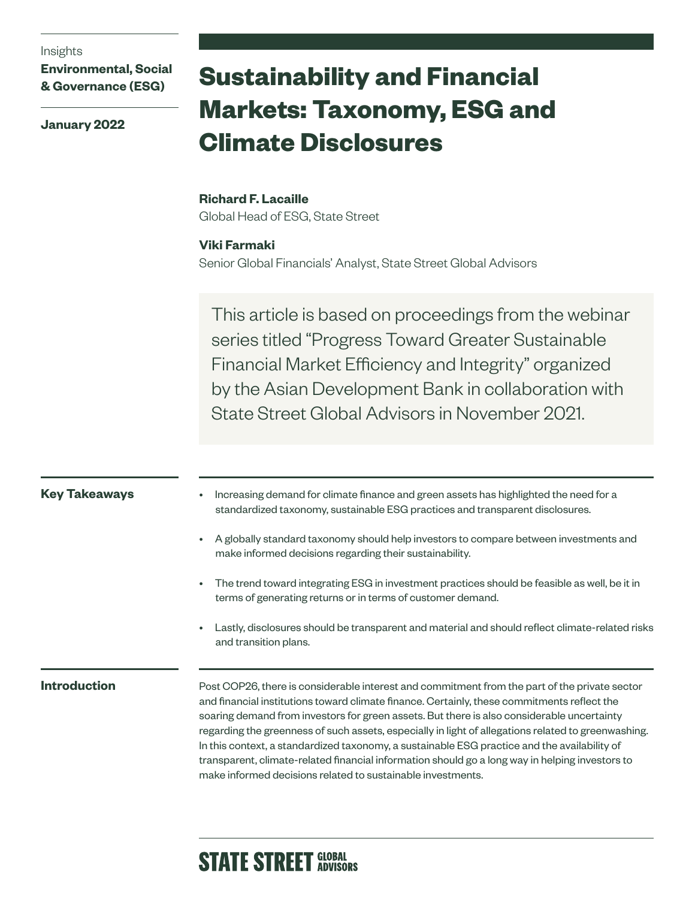#### Insights

**Environmental, Social & Governance (ESG)**

**January 2022**

# **Sustainability and Financial Markets: Taxonomy, ESG and Climate Disclosures**

## **Richard F. Lacaille** Global Head of ESG, State Street

## **Viki Farmaki**

Senior Global Financials' Analyst, State Street Global Advisors

This article is based on proceedings from the webinar series titled "Progress Toward Greater Sustainable Financial Market Efficiency and Integrity" organized by the Asian Development Bank in collaboration with State Street Global Advisors in November 2021.

### **Key Takeaways**

- Increasing demand for climate finance and green assets has highlighted the need for a standardized taxonomy, sustainable ESG practices and transparent disclosures.
- A globally standard taxonomy should help investors to compare between investments and make informed decisions regarding their sustainability.
- The trend toward integrating ESG in investment practices should be feasible as well, be it in terms of generating returns or in terms of customer demand.
- Lastly, disclosures should be transparent and material and should reflect climate-related risks and transition plans.

### **Introduction**

Post COP26, there is considerable interest and commitment from the part of the private sector and financial institutions toward climate finance. Certainly, these commitments reflect the soaring demand from investors for green assets. But there is also considerable uncertainty regarding the greenness of such assets, especially in light of allegations related to greenwashing. In this context, a standardized taxonomy, a sustainable ESG practice and the availability of transparent, climate-related financial information should go a long way in helping investors to make informed decisions related to sustainable investments.

# **STATE STREET GLOBAL**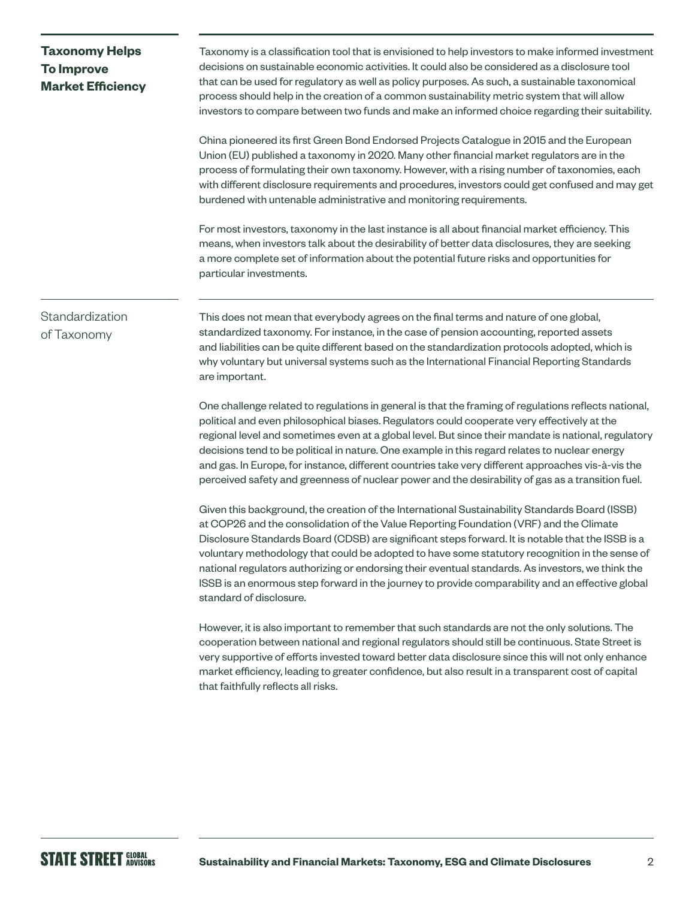| <b>Taxonomy Helps</b><br><b>To Improve</b><br><b>Market Efficiency</b> | Taxonomy is a classification tool that is envisioned to help investors to make informed investment<br>decisions on sustainable economic activities. It could also be considered as a disclosure tool<br>that can be used for regulatory as well as policy purposes. As such, a sustainable taxonomical<br>process should help in the creation of a common sustainability metric system that will allow<br>investors to compare between two funds and make an informed choice regarding their suitability.                                                                                                                           |
|------------------------------------------------------------------------|-------------------------------------------------------------------------------------------------------------------------------------------------------------------------------------------------------------------------------------------------------------------------------------------------------------------------------------------------------------------------------------------------------------------------------------------------------------------------------------------------------------------------------------------------------------------------------------------------------------------------------------|
|                                                                        | China pioneered its first Green Bond Endorsed Projects Catalogue in 2015 and the European<br>Union (EU) published a taxonomy in 2020. Many other financial market regulators are in the<br>process of formulating their own taxonomy. However, with a rising number of taxonomies, each<br>with different disclosure requirements and procedures, investors could get confused and may get<br>burdened with untenable administrative and monitoring requirements.                                                                                                                                                                   |
|                                                                        | For most investors, taxonomy in the last instance is all about financial market efficiency. This<br>means, when investors talk about the desirability of better data disclosures, they are seeking<br>a more complete set of information about the potential future risks and opportunities for<br>particular investments.                                                                                                                                                                                                                                                                                                          |
| Standardization<br>of Taxonomy                                         | This does not mean that everybody agrees on the final terms and nature of one global,<br>standardized taxonomy. For instance, in the case of pension accounting, reported assets<br>and liabilities can be quite different based on the standardization protocols adopted, which is<br>why voluntary but universal systems such as the International Financial Reporting Standards<br>are important.                                                                                                                                                                                                                                |
|                                                                        | One challenge related to regulations in general is that the framing of regulations reflects national,<br>political and even philosophical biases. Regulators could cooperate very effectively at the<br>regional level and sometimes even at a global level. But since their mandate is national, regulatory<br>decisions tend to be political in nature. One example in this regard relates to nuclear energy<br>and gas. In Europe, for instance, different countries take very different approaches vis-à-vis the<br>perceived safety and greenness of nuclear power and the desirability of gas as a transition fuel.           |
|                                                                        | Given this background, the creation of the International Sustainability Standards Board (ISSB)<br>at COP26 and the consolidation of the Value Reporting Foundation (VRF) and the Climate<br>Disclosure Standards Board (CDSB) are significant steps forward. It is notable that the ISSB is a<br>voluntary methodology that could be adopted to have some statutory recognition in the sense of<br>national regulators authorizing or endorsing their eventual standards. As investors, we think the<br>ISSB is an enormous step forward in the journey to provide comparability and an effective global<br>standard of disclosure. |
|                                                                        | However, it is also important to remember that such standards are not the only solutions. The<br>cooperation between national and regional regulators should still be continuous. State Street is<br>very supportive of efforts invested toward better data disclosure since this will not only enhance<br>market efficiency, leading to greater confidence, but also result in a transparent cost of capital                                                                                                                                                                                                                       |

that faithfully reflects all risks.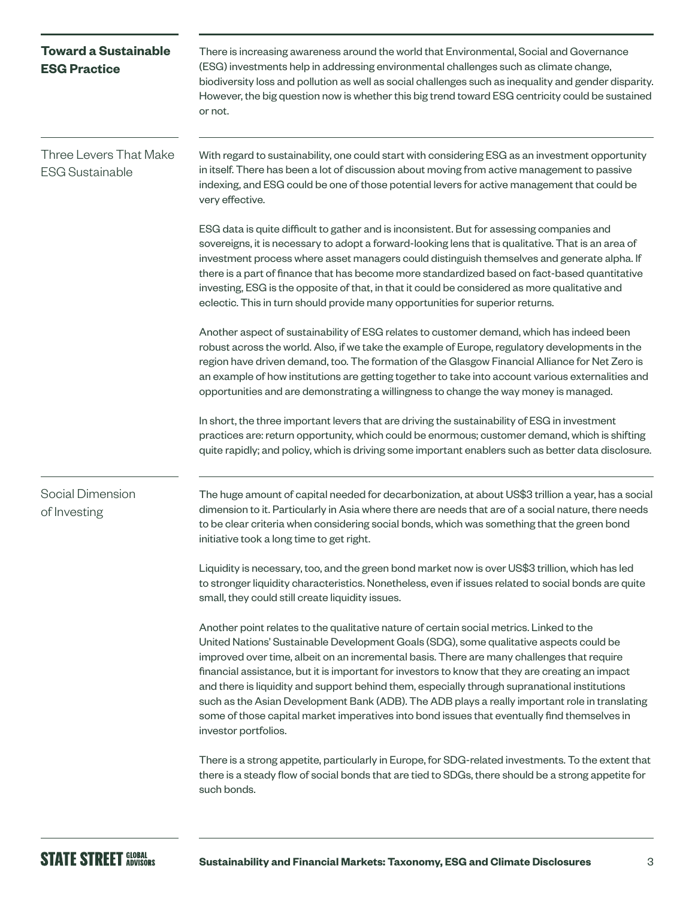| <b>Toward a Sustainable</b><br><b>ESG Practice</b> | There is increasing awareness around the world that Environmental, Social and Governance<br>(ESG) investments help in addressing environmental challenges such as climate change,<br>biodiversity loss and pollution as well as social challenges such as inequality and gender disparity.<br>However, the big question now is whether this big trend toward ESG centricity could be sustained<br>or not.                                                                                                                                                                                                                                                                                                       |
|----------------------------------------------------|-----------------------------------------------------------------------------------------------------------------------------------------------------------------------------------------------------------------------------------------------------------------------------------------------------------------------------------------------------------------------------------------------------------------------------------------------------------------------------------------------------------------------------------------------------------------------------------------------------------------------------------------------------------------------------------------------------------------|
| Three Levers That Make<br><b>ESG Sustainable</b>   | With regard to sustainability, one could start with considering ESG as an investment opportunity<br>in itself. There has been a lot of discussion about moving from active management to passive<br>indexing, and ESG could be one of those potential levers for active management that could be<br>very effective.                                                                                                                                                                                                                                                                                                                                                                                             |
|                                                    | ESG data is quite difficult to gather and is inconsistent. But for assessing companies and<br>sovereigns, it is necessary to adopt a forward-looking lens that is qualitative. That is an area of<br>investment process where asset managers could distinguish themselves and generate alpha. If<br>there is a part of finance that has become more standardized based on fact-based quantitative<br>investing, ESG is the opposite of that, in that it could be considered as more qualitative and<br>eclectic. This in turn should provide many opportunities for superior returns.                                                                                                                           |
|                                                    | Another aspect of sustainability of ESG relates to customer demand, which has indeed been<br>robust across the world. Also, if we take the example of Europe, regulatory developments in the<br>region have driven demand, too. The formation of the Glasgow Financial Alliance for Net Zero is<br>an example of how institutions are getting together to take into account various externalities and<br>opportunities and are demonstrating a willingness to change the way money is managed.                                                                                                                                                                                                                  |
|                                                    | In short, the three important levers that are driving the sustainability of ESG in investment<br>practices are: return opportunity, which could be enormous; customer demand, which is shifting<br>quite rapidly; and policy, which is driving some important enablers such as better data disclosure.                                                                                                                                                                                                                                                                                                                                                                                                          |
| Social Dimension<br>of Investing                   | The huge amount of capital needed for decarbonization, at about US\$3 trillion a year, has a social<br>dimension to it. Particularly in Asia where there are needs that are of a social nature, there needs<br>to be clear criteria when considering social bonds, which was something that the green bond<br>initiative took a long time to get right.                                                                                                                                                                                                                                                                                                                                                         |
|                                                    | Liquidity is necessary, too, and the green bond market now is over US\$3 trillion, which has led<br>to stronger liquidity characteristics. Nonetheless, even if issues related to social bonds are quite<br>small, they could still create liquidity issues.                                                                                                                                                                                                                                                                                                                                                                                                                                                    |
|                                                    | Another point relates to the qualitative nature of certain social metrics. Linked to the<br>United Nations' Sustainable Development Goals (SDG), some qualitative aspects could be<br>improved over time, albeit on an incremental basis. There are many challenges that require<br>financial assistance, but it is important for investors to know that they are creating an impact<br>and there is liquidity and support behind them, especially through supranational institutions<br>such as the Asian Development Bank (ADB). The ADB plays a really important role in translating<br>some of those capital market imperatives into bond issues that eventually find themselves in<br>investor portfolios. |
|                                                    | There is a strong appetite, particularly in Europe, for SDG-related investments. To the extent that<br>there is a steady flow of social bonds that are tied to SDGs, there should be a strong appetite for<br>such bonds.                                                                                                                                                                                                                                                                                                                                                                                                                                                                                       |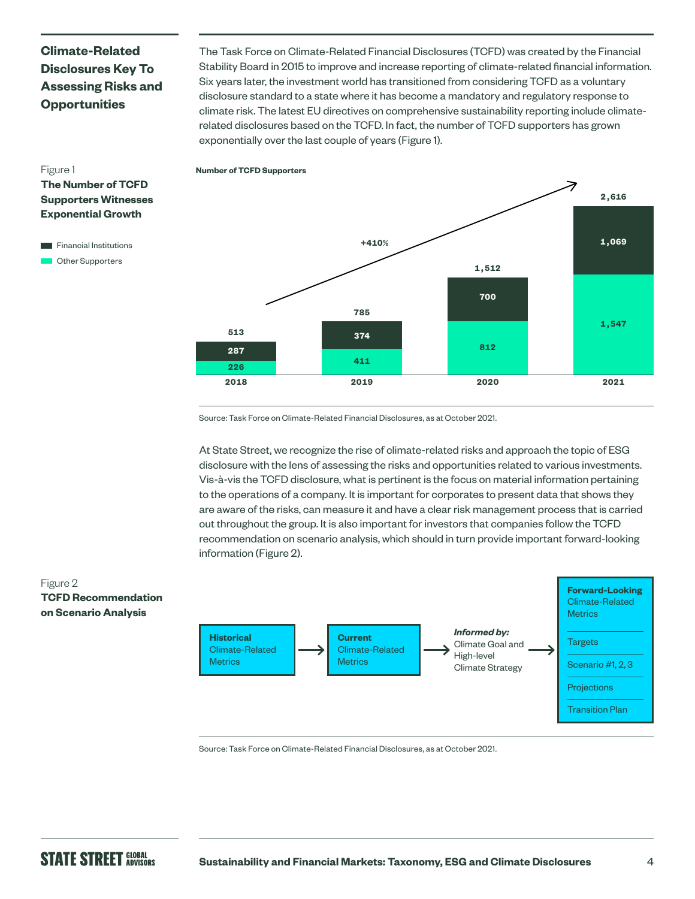## **Climate-Related Disclosures Key To Assessing Risks and Opportunities**

The Task Force on Climate-Related Financial Disclosures (TCFD) was created by the Financial Stability Board in 2015 to improve and increase reporting of climate-related financial information. Six years later, the investment world has transitioned from considering TCFD as a voluntary disclosure standard to a state where it has become a mandatory and regulatory response to climate risk. The latest EU directives on comprehensive sustainability reporting include climaterelated disclosures based on the TCFD. In fact, the number of TCFD supporters has grown exponentially over the last couple of years (Figure 1).

#### Figure 1

Figure 2

**on Scenario Analysis**

#### **The Number of TCFD Supporters Witnesses Exponential Growth**

**Financial Institutions C** Other Supporters



Source: Task Force on Climate-Related Financial Disclosures, as at October 2021.

At State Street, we recognize the rise of climate-related risks and approach the topic of ESG disclosure with the lens of assessing the risks and opportunities related to various investments. Vis-à-vis the TCFD disclosure, what is pertinent is the focus on material information pertaining to the operations of a company. It is important for corporates to present data that shows they are aware of the risks, can measure it and have a clear risk management process that is carried out throughout the group. It is also important for investors that companies follow the TCFD recommendation on scenario analysis, which should in turn provide important forward-looking information (Figure 2).



Source: Task Force on Climate-Related Financial Disclosures, as at October 2021.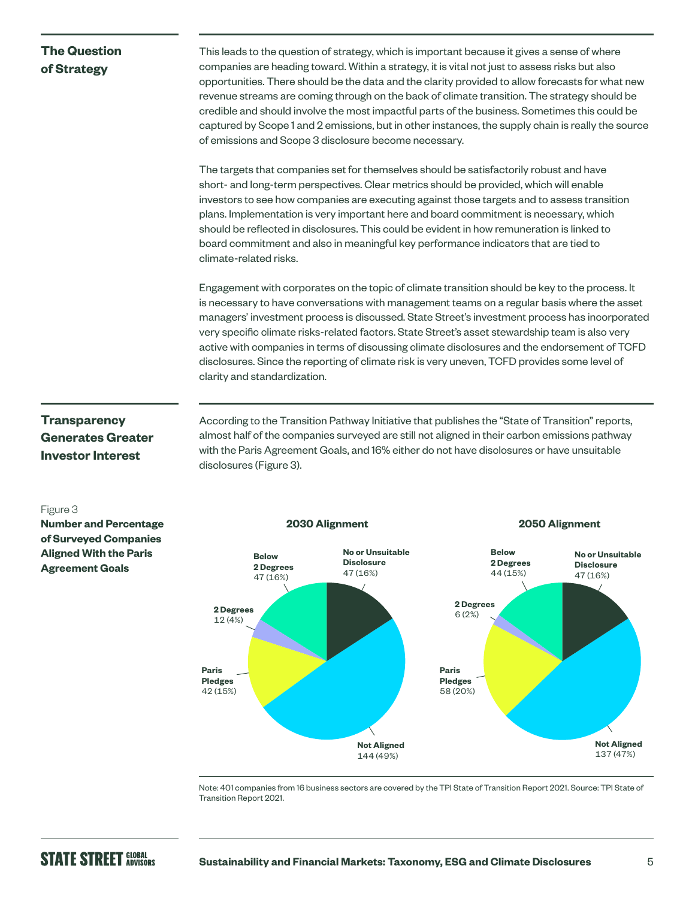## **The Question of Strategy**

This leads to the question of strategy, which is important because it gives a sense of where companies are heading toward. Within a strategy, it is vital not just to assess risks but also opportunities. There should be the data and the clarity provided to allow forecasts for what new revenue streams are coming through on the back of climate transition. The strategy should be credible and should involve the most impactful parts of the business. Sometimes this could be captured by Scope 1 and 2 emissions, but in other instances, the supply chain is really the source of emissions and Scope 3 disclosure become necessary.

The targets that companies set for themselves should be satisfactorily robust and have short- and long-term perspectives. Clear metrics should be provided, which will enable investors to see how companies are executing against those targets and to assess transition plans. Implementation is very important here and board commitment is necessary, which should be reflected in disclosures. This could be evident in how remuneration is linked to board commitment and also in meaningful key performance indicators that are tied to climate-related risks.

Engagement with corporates on the topic of climate transition should be key to the process. It is necessary to have conversations with management teams on a regular basis where the asset managers' investment process is discussed. State Street's investment process has incorporated very specific climate risks-related factors. State Street's asset stewardship team is also very active with companies in terms of discussing climate disclosures and the endorsement of TCFD disclosures. Since the reporting of climate risk is very uneven, TCFD provides some level of clarity and standardization.

## **Transparency Generates Greater Investor Interest**

According to the Transition Pathway Initiative that publishes the "State of Transition" reports, almost half of the companies surveyed are still not aligned in their carbon emissions pathway with the Paris Agreement Goals, and 16% either do not have disclosures or have unsuitable disclosures (Figure 3).



Note: 401 companies from 16 business sectors are covered by the TPI State of Transition Report 2021. Source: TPI State of Transition Report 2021.

## Figure 3 **Number and Percentage of Surveyed Companies Aligned With the Paris Agreement Goals**

# **STATE STREET GLOBAL**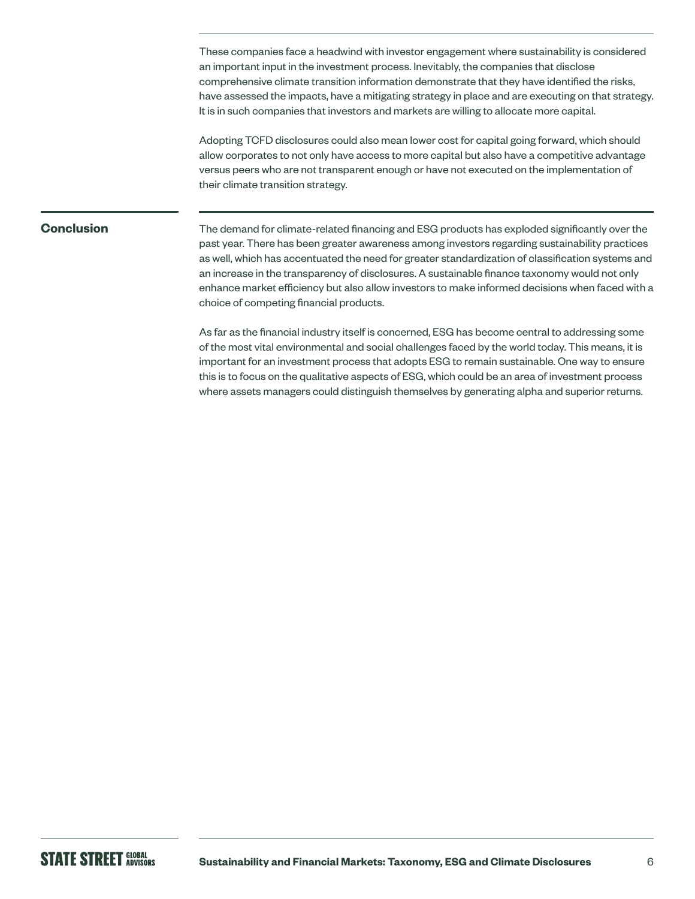These companies face a headwind with investor engagement where sustainability is considered an important input in the investment process. Inevitably, the companies that disclose comprehensive climate transition information demonstrate that they have identified the risks, have assessed the impacts, have a mitigating strategy in place and are executing on that strategy. It is in such companies that investors and markets are willing to allocate more capital.

Adopting TCFD disclosures could also mean lower cost for capital going forward, which should allow corporates to not only have access to more capital but also have a competitive advantage versus peers who are not transparent enough or have not executed on the implementation of their climate transition strategy.

### **Conclusion**

The demand for climate-related financing and ESG products has exploded significantly over the past year. There has been greater awareness among investors regarding sustainability practices as well, which has accentuated the need for greater standardization of classification systems and an increase in the transparency of disclosures. A sustainable finance taxonomy would not only enhance market efficiency but also allow investors to make informed decisions when faced with a choice of competing financial products.

As far as the financial industry itself is concerned, ESG has become central to addressing some of the most vital environmental and social challenges faced by the world today. This means, it is important for an investment process that adopts ESG to remain sustainable. One way to ensure this is to focus on the qualitative aspects of ESG, which could be an area of investment process where assets managers could distinguish themselves by generating alpha and superior returns.